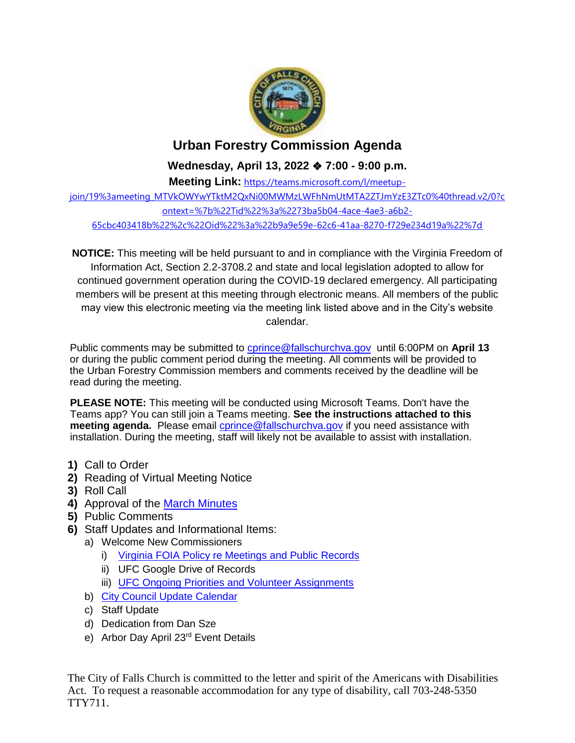

## **Urban Forestry Commission Agenda**

**Wednesday, April 13, 2022** ❖ **7:00 - 9:00 p.m.**

**Meeting Link:** [https://teams.microsoft.com/l/meetup](https://teams.microsoft.com/l/meetup-join/19%3ameeting_MTVkOWYwYTktM2QxNi00MWMzLWFhNmUtMTA2ZTJmYzE3ZTc0%40thread.v2/0?context=%7b%22Tid%22%3a%2273ba5b04-4ace-4ae3-a6b2-65cbc403418b%22%2c%22Oid%22%3a%22b9a9e59e-62c6-41aa-8270-f729e234d19a%22%7d)[join/19%3ameeting\\_MTVkOWYwYTktM2QxNi00MWMzLWFhNmUtMTA2ZTJmYzE3ZTc0%40thread.v2/0?c](https://teams.microsoft.com/l/meetup-join/19%3ameeting_MTVkOWYwYTktM2QxNi00MWMzLWFhNmUtMTA2ZTJmYzE3ZTc0%40thread.v2/0?context=%7b%22Tid%22%3a%2273ba5b04-4ace-4ae3-a6b2-65cbc403418b%22%2c%22Oid%22%3a%22b9a9e59e-62c6-41aa-8270-f729e234d19a%22%7d) [ontext=%7b%22Tid%22%3a%2273ba5b04-4ace-4ae3-a6b2-](https://teams.microsoft.com/l/meetup-join/19%3ameeting_MTVkOWYwYTktM2QxNi00MWMzLWFhNmUtMTA2ZTJmYzE3ZTc0%40thread.v2/0?context=%7b%22Tid%22%3a%2273ba5b04-4ace-4ae3-a6b2-65cbc403418b%22%2c%22Oid%22%3a%22b9a9e59e-62c6-41aa-8270-f729e234d19a%22%7d) [65cbc403418b%22%2c%22Oid%22%3a%22b9a9e59e-62c6-41aa-8270-f729e234d19a%22%7d](https://teams.microsoft.com/l/meetup-join/19%3ameeting_MTVkOWYwYTktM2QxNi00MWMzLWFhNmUtMTA2ZTJmYzE3ZTc0%40thread.v2/0?context=%7b%22Tid%22%3a%2273ba5b04-4ace-4ae3-a6b2-65cbc403418b%22%2c%22Oid%22%3a%22b9a9e59e-62c6-41aa-8270-f729e234d19a%22%7d)

**NOTICE:** This meeting will be held pursuant to and in compliance with the Virginia Freedom of Information Act, Section 2.2-3708.2 and state and local legislation adopted to allow for continued government operation during the COVID-19 declared emergency. All participating members will be present at this meeting through electronic means. All members of the public may view this electronic meeting via the meeting link listed above and in the City's website calendar.

Public comments may be submitted to [cprince@fallschurchva.gov](mailto:cprince@fallschurchva.gov) until 6:00PM on **April 13** or during the public comment period during the meeting. All comments will be provided to the Urban Forestry Commission members and comments received by the deadline will be read during the meeting.

**PLEASE NOTE:** This meeting will be conducted using Microsoft Teams. Don't have the Teams app? You can still join a Teams meeting. **See the instructions attached to this meeting agenda.** Please email *cprince@fallschurchva.gov* if you need assistance with installation. During the meeting, staff will likely not be available to assist with installation.

- **1)** Call to Order
- **2)** Reading of Virtual Meeting Notice
- **3)** Roll Call
- **4)** Approval of the [March Minutes](https://www.fallschurchva.gov/DocumentCenter/View/16090/2022-3-16-UFC-Minutes---Draft)
- **5)** Public Comments
- **6)** Staff Updates and Informational Items:
	- a) Welcome New Commissioners
		- i) [Virginia FOIA Policy re Meetings and Public Records](https://www.fallschurchva.gov/DocumentCenter/View/16088/VA-FOIA-Policy-Quick-Guide)
		- ii) UFC Google Drive of Records
		- iii) [UFC Ongoing Priorities and Volunteer Assignments](https://www.fallschurchva.gov/DocumentCenter/View/16087/UFC-Ongoing-Priorities-and-Volunteer-Assignments)
	- b) [City Council Update Calendar](https://www.fallschurchva.gov/DocumentCenter/View/16086/CC-Schedule)
	- c) Staff Update
	- d) Dedication from Dan Sze
	- e) Arbor Day April 23rd Event Details

The City of Falls Church is committed to the letter and spirit of the Americans with Disabilities Act. To request a reasonable accommodation for any type of disability, call 703-248-5350 TTY711.